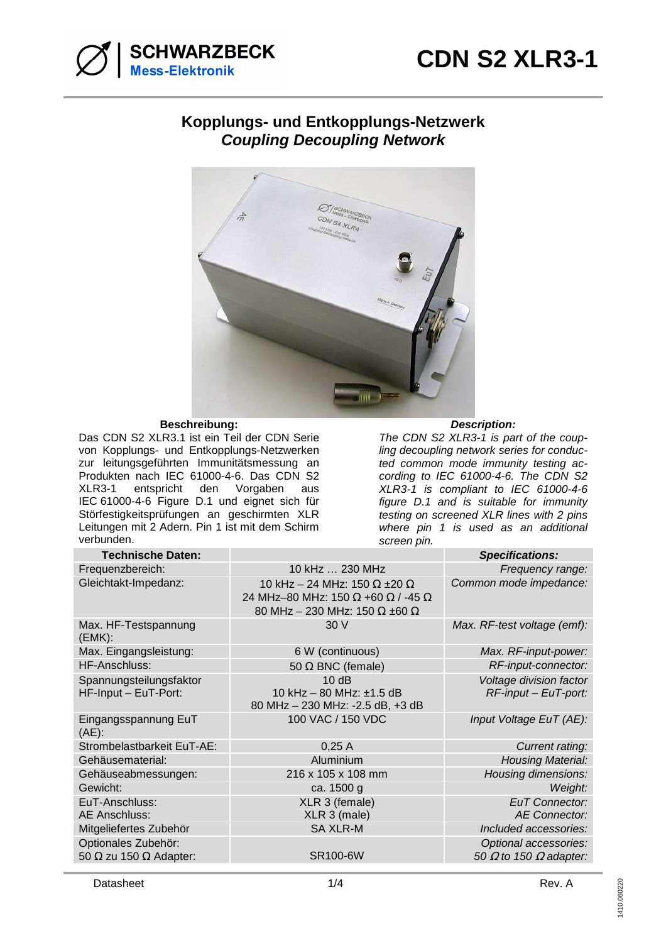

## **Kopplungs- und Entkopplungs-Netzwerk Coupling Decoupling Network**



## $Beschreibung:$

Das CDN S2 XLR3.1 ist ein Teil der CDN Serie von Kopplungs- und Entkopplungs-Netzwerken zur leitungsgeführten Immunitätsmessung an Produkten nach IEC 61000-4-6. Das CDN S2 XLR3-1 entspricht den Vorgaben aus IEC 61000-4-6 Figure D.1 und eignet sich für Störfestigkeitsprüfungen an geschirmten XLR Leitungen mit 2 Adern. Pin 1 ist mit dem Schirm verbunden.

## **Description:**

The CDN S2 XLR3-1 is part of the coupling decoupling network series for conducted common mode immunity testing according to IEC 61000-4-6. The CDN S2 XLR3-1 is compliant to IEC 61000-4-6 figure D.1 and is suitable for immunity testing on screened XLR lines with 2 pins where pin 1 is used as an additional screen pin.

| <b>Technische Daten:</b>                                    |                                                                                                                                 | <b>Specifications:</b>                                        |
|-------------------------------------------------------------|---------------------------------------------------------------------------------------------------------------------------------|---------------------------------------------------------------|
| Frequenzbereich:                                            | 10 kHz  230 MHz                                                                                                                 | Frequency range:                                              |
| Gleichtakt-Impedanz:                                        | 10 kHz - 24 MHz: 150 $\Omega$ ±20 $\Omega$<br>24 MHz-80 MHz: 150 Ω +60 Ω / -45 Ω<br>80 MHz - 230 MHz: 150 $\Omega$ ±60 $\Omega$ | Common mode impedance:                                        |
| Max. HF-Testspannung<br>(EMK):                              | 30V                                                                                                                             | Max. RF-test voltage (emf):                                   |
| Max. Eingangsleistung:                                      | 6 W (continuous)                                                                                                                | Max. RF-input-power:                                          |
| HF-Anschluss:                                               | 50 $\Omega$ BNC (female)                                                                                                        | RF-input-connector:                                           |
| Spannungsteilungsfaktor<br>HF-Input - EuT-Port:             | 10dB<br>10 kHz - 80 MHz: ±1.5 dB<br>80 MHz - 230 MHz: -2.5 dB, +3 dB                                                            | Voltage division factor<br>$RF$ -input – EuT-port:            |
| Eingangsspannung EuT<br>$(AE)$ :                            | 100 VAC / 150 VDC                                                                                                               | Input Voltage EuT (AE):                                       |
| Strombelastbarkeit EuT-AE:                                  | 0,25A                                                                                                                           | Current rating:                                               |
| Gehäusematerial:                                            | Aluminium                                                                                                                       | <b>Housing Material:</b>                                      |
| Gehäuseabmessungen:                                         | 216 x 105 x 108 mm                                                                                                              | Housing dimensions:                                           |
| Gewicht:                                                    | ca. 1500 g                                                                                                                      | Weight:                                                       |
| EuT-Anschluss:<br>AE Anschluss:                             | XLR 3 (female)<br>XLR 3 (male)                                                                                                  | <b>EuT</b> Connector:<br><b>AE Connector:</b>                 |
| Mitgeliefertes Zubehör                                      | <b>SA XLR-M</b>                                                                                                                 | Included accessories:                                         |
| Optionales Zubehör:<br>50 $\Omega$ zu 150 $\Omega$ Adapter: | <b>SR100-6W</b>                                                                                                                 | Optional accessories:<br>50 $\Omega$ to 150 $\Omega$ adapter: |
|                                                             |                                                                                                                                 |                                                               |

Datasheet **1/4 Datasheet** Rev. A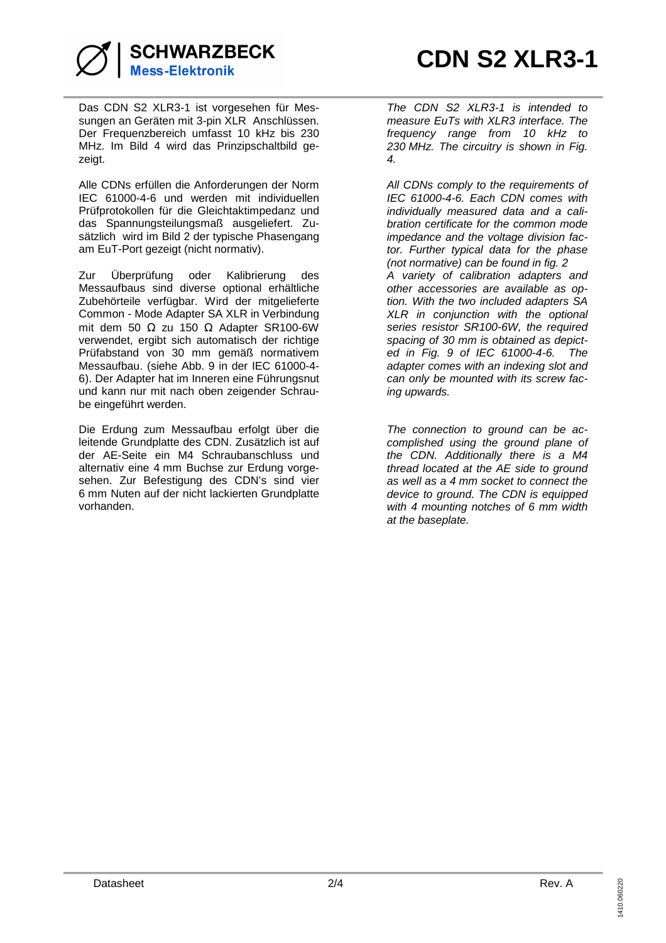

**SCHWARZBECK Mess-Elektronik** 

Das CDN S2 XLR3-1 ist vorgesehen für Messungen an Geräten mit 3-pin XLR Anschlüssen. Der Frequenzbereich umfasst 10 kHz bis 230 MHz. Im Bild 4 wird das Prinzipschaltbild gezeigt.

Alle CDNs erfüllen die Anforderungen der Norm IEC 61000-4-6 und werden mit individuellen Prüfprotokollen für die Gleichtaktimpedanz und das Spannungsteilungsmaß ausgeliefert. Zusätzlich wird im Bild 2 der typische Phasengang am EuT-Port gezeigt (nicht normativ).

Zur Überprüfung oder Kalibrierung des Messaufbaus sind diverse optional erhältliche Zubehörteile verfügbar. Wird der mitgelieferte Common - Mode Adapter SA XLR in Verbindung mit dem 50 Ω zu 150 Ω Adapter SR100-6W verwendet, ergibt sich automatisch der richtige Prüfabstand von 30 mm gemäß normativem Messaufbau. (siehe Abb. 9 in der IEC 61000-4- 6). Der Adapter hat im Inneren eine Führungsnut und kann nur mit nach oben zeigender Schraube eingeführt werden.

Die Erdung zum Messaufbau erfolgt über die leitende Grundplatte des CDN. Zusätzlich ist auf der AE-Seite ein M4 Schraubanschluss und alternativ eine 4 mm Buchse zur Erdung vorgesehen. Zur Befestigung des CDN's sind vier 6 mm Nuten auf der nicht lackierten Grundplatte vorhanden.

The CDN S2 XLR3-1 is intended to measure EuTs with XLR3 interface. The frequency range from 10 kHz to 230 MHz. The circuitry is shown in Fig. 4.

All CDNs comply to the requirements of IEC 61000-4-6. Each CDN comes with individually measured data and a calibration certificate for the common mode impedance and the voltage division factor. Further typical data for the phase (not normative) can be found in fig. 2 A variety of calibration adapters and other accessories are available as option. With the two included adapters SA XLR in conjunction with the optional series resistor SR100-6W, the required spacing of 30 mm is obtained as depicted in Fig. 9 of IEC 61000-4-6. The adapter comes with an indexing slot and can only be mounted with its screw facing upwards.

The connection to ground can be accomplished using the ground plane of the CDN. Additionally there is a M4 thread located at the AE side to ground as well as a 4 mm socket to connect the device to ground. The CDN is equipped with 4 mounting notches of 6 mm width at the baseplate.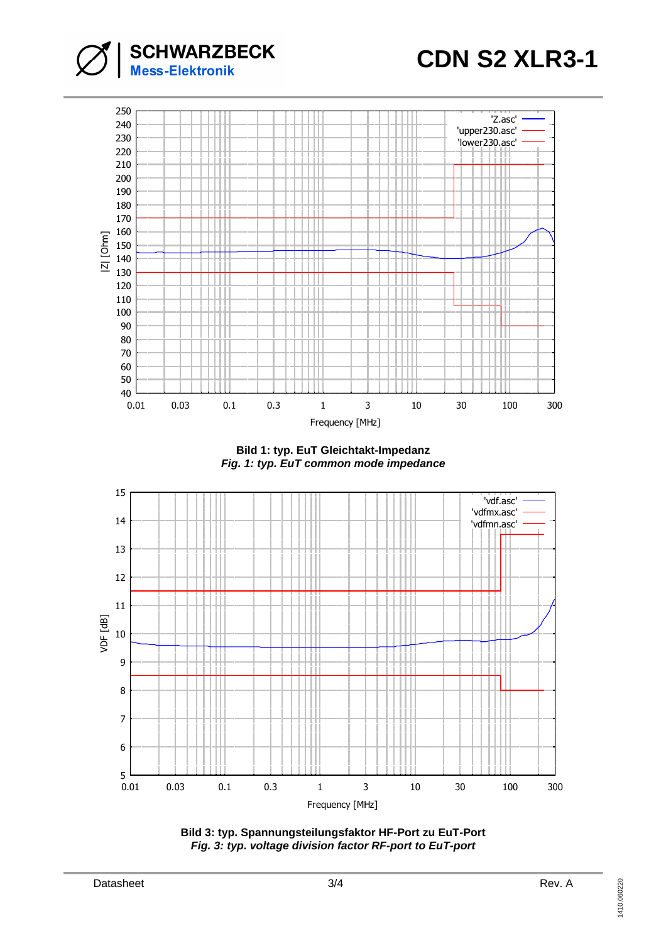



**Bild 1: typ. EuT Gleichtakt-Impedanz Fig. 1: typ. EuT common mode impedance**